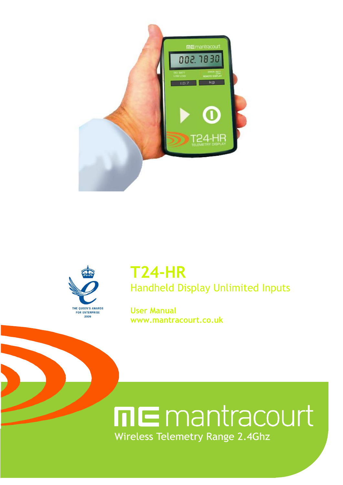



## **T24-HR** Handheld Display Unlimited Inputs

**User Manual www.mantracourt.co.uk**

# **ME** mantracourt **Wireless Telemetry Range 2.4Ghz**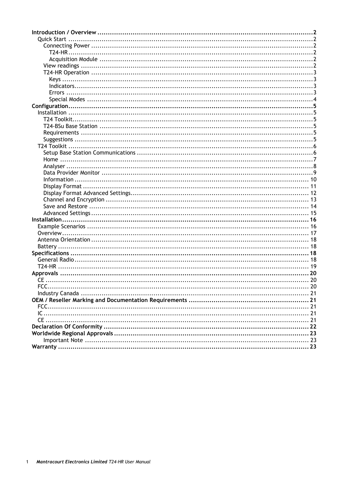| <b>Quick Start</b> |  |
|--------------------|--|
|                    |  |
|                    |  |
|                    |  |
|                    |  |
|                    |  |
|                    |  |
|                    |  |
|                    |  |
|                    |  |
|                    |  |
|                    |  |
|                    |  |
|                    |  |
|                    |  |
|                    |  |
|                    |  |
|                    |  |
|                    |  |
|                    |  |
|                    |  |
|                    |  |
|                    |  |
|                    |  |
|                    |  |
|                    |  |
|                    |  |
|                    |  |
|                    |  |
|                    |  |
|                    |  |
|                    |  |
|                    |  |
|                    |  |
|                    |  |
|                    |  |
|                    |  |
|                    |  |
| FCC.               |  |
|                    |  |
|                    |  |
|                    |  |
|                    |  |
|                    |  |
|                    |  |
|                    |  |
|                    |  |
|                    |  |
|                    |  |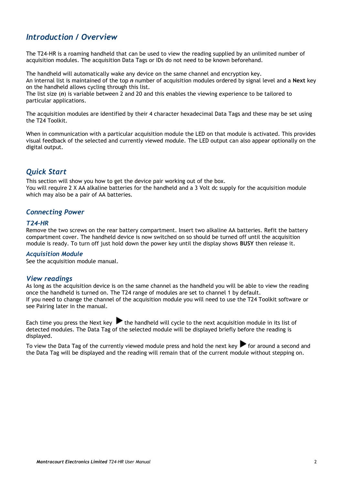## <span id="page-2-0"></span>*Introduction / Overview*

The T24-HR is a roaming handheld that can be used to view the reading supplied by an unlimited number of acquisition modules. The acquisition Data Tags or IDs do not need to be known beforehand.

The handheld will automatically wake any device on the same channel and encryption key.

An internal list is maintained of the top *n* number of acquisition modules ordered by signal level and a **Next** key on the handheld allows cycling through this list.

The list size (*n*) is variable between 2 and 20 and this enables the viewing experience to be tailored to particular applications.

The acquisition modules are identified by their 4 character hexadecimal Data Tags and these may be set using the T24 Toolkit.

When in communication with a particular acquisition module the LED on that module is activated. This provides visual feedback of the selected and currently viewed module. The LED output can also appear optionally on the digital output.

## <span id="page-2-1"></span>*Quick Start*

This section will show you how to get the device pair working out of the box. You will require 2 X AA alkaline batteries for the handheld and a 3 Volt dc supply for the acquisition module which may also be a pair of AA batteries.

#### <span id="page-2-2"></span>*Connecting Power*

#### <span id="page-2-3"></span>*T24-HR*

Remove the two screws on the rear battery compartment. Insert two alkaline AA batteries. Refit the battery compartment cover. The handheld device is now switched on so should be turned off until the acquisition module is ready. To turn off just hold down the power key until the display shows **BUSY** then release it.

#### <span id="page-2-4"></span>*Acquisition Module*

See the acquisition module manual.

#### <span id="page-2-5"></span>*View readings*

As long as the acquisition device is on the same channel as the handheld you will be able to view the reading once the handheld is turned on. The T24 range of modules are set to channel 1 by default. If you need to change the channel of the acquisition module you will need to use the T24 Toolkit software or see Pairing later in the manual.

Each time you press the Next key  $\blacktriangleright$  the handheld will cycle to the next acquisition module in its list of detected modules. The Data Tag of the selected module will be displayed briefly before the reading is displayed.

To view the Data Tag of the currently viewed module press and hold the next key  $\blacktriangleright$  for around a second and the Data Tag will be displayed and the reading will remain that of the current module without stepping on.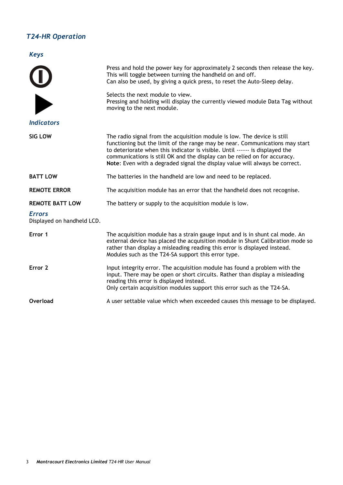## <span id="page-3-0"></span>*T24-HR Operation*

<span id="page-3-1"></span>*Keys*

<span id="page-3-3"></span><span id="page-3-2"></span>

| U<br>D                                      | Press and hold the power key for approximately 2 seconds then release the key.<br>This will toggle between turning the handheld on and off.<br>Can also be used, by giving a quick press, to reset the Auto-Sleep delay.<br>Selects the next module to view.<br>Pressing and holding will display the currently viewed module Data Tag without<br>moving to the next module.                         |
|---------------------------------------------|------------------------------------------------------------------------------------------------------------------------------------------------------------------------------------------------------------------------------------------------------------------------------------------------------------------------------------------------------------------------------------------------------|
| <b>Indicators</b>                           |                                                                                                                                                                                                                                                                                                                                                                                                      |
| SIG LOW                                     | The radio signal from the acquisition module is low. The device is still<br>functioning but the limit of the range may be near. Communications may start<br>to deteriorate when this indicator is visible. Until ------ is displayed the<br>communications is still OK and the display can be relied on for accuracy.<br>Note: Even with a degraded signal the display value will always be correct. |
| <b>BATT LOW</b>                             | The batteries in the handheld are low and need to be replaced.                                                                                                                                                                                                                                                                                                                                       |
| <b>REMOTE ERROR</b>                         | The acquisition module has an error that the handheld does not recognise.                                                                                                                                                                                                                                                                                                                            |
| <b>REMOTE BATT LOW</b>                      | The battery or supply to the acquisition module is low.                                                                                                                                                                                                                                                                                                                                              |
| <b>Errors</b><br>Displayed on handheld LCD. |                                                                                                                                                                                                                                                                                                                                                                                                      |
| Error 1                                     | The acquisition module has a strain gauge input and is in shunt cal mode. An<br>external device has placed the acquisition module in Shunt Calibration mode so<br>rather than display a misleading reading this error is displayed instead.<br>Modules such as the T24-SA support this error type.                                                                                                   |
| Error <sub>2</sub>                          | Input integrity error. The acquisition module has found a problem with the<br>input. There may be open or short circuits. Rather than display a misleading<br>reading this error is displayed instead.<br>Only certain acquisition modules support this error such as the T24-SA.                                                                                                                    |
|                                             |                                                                                                                                                                                                                                                                                                                                                                                                      |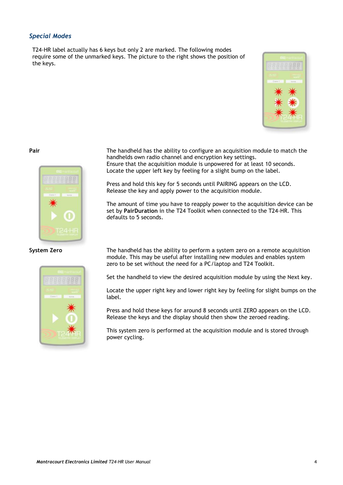#### <span id="page-4-0"></span>*Special Modes*

T24-HR label actually has 6 keys but only 2 are marked. The following modes require some of the unmarked keys. The picture to the right shows the position of the keys.







**Pair** The handheld has the ability to configure an acquisition module to match the handhelds own radio channel and encryption key settings. Ensure that the acquisition module is unpowered for at least 10 seconds. Locate the upper left key by feeling for a slight bump on the label.

> Press and hold this key for 5 seconds until PAIRING appears on the LCD. Release the key and apply power to the acquisition module.

The amount of time you have to reapply power to the acquisition device can be set by **PairDuration** in the T24 Toolkit when connected to the T24-HR. This defaults to 5 seconds.

**System Zero** The handheld has the ability to perform a system zero on a remote acquisition module. This may be useful after installing new modules and enables system zero to be set without the need for a PC/laptop and T24 Toolkit.

Set the handheld to view the desired acquisition module by using the Next key.

Locate the upper right key and lower right key by feeling for slight bumps on the label.

Press and hold these keys for around 8 seconds until ZERO appears on the LCD. Release the keys and the display should then show the zeroed reading.

This system zero is performed at the acquisition module and is stored through power cycling.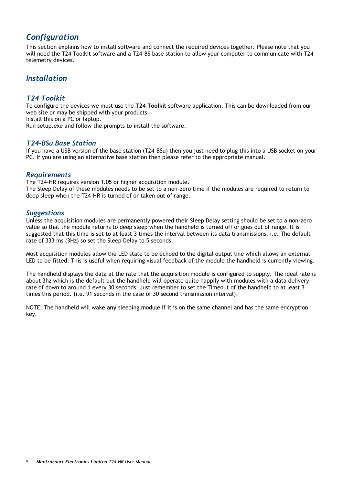## <span id="page-5-0"></span>*Configuration*

This section explains how to install software and connect the required devices together. Please note that you will need the T24 Toolkit software and a T24-BS base station to allow your computer to communicate with T24 telemetry devices.

## <span id="page-5-1"></span>*Installation*

#### <span id="page-5-2"></span>*T24 Toolkit*

To configure the devices we must use the **T24 Toolkit** software application. This can be downloaded from our web site or may be shipped with your products.

Install this on a PC or laptop.

Run setup.exe and follow the prompts to install the software.

#### <span id="page-5-3"></span>*T24-BSu Base Station*

If you have a USB version of the base station (T24-BSu) then you just need to plug this into a USB socket on your PC. If you are using an alternative base station then please refer to the appropriate manual.

#### <span id="page-5-4"></span>*Requirements*

The T24-HR requires version 1.05 or higher acquisition module. The Sleep Delay of these modules needs to be set to a non-zero time if the modules are required to return to deep sleep when the T24-HR is turned of or taken out of range.

#### <span id="page-5-5"></span>*Suggestions*

Unless the acquisition modules are permanently powered their Sleep Delay setting should be set to a non-zero value so that the module returns to deep sleep when the handheld is turned off or goes out of range. It is suggested that this time is set to at least 3 times the interval between its data transmissions. i.e. The default rate of 333 ms (3Hz) so set the Sleep Delay to 5 seconds.

Most acquisition modules allow the LED state to be echoed to the digital output line which allows an external LED to be fitted. This is useful when requiring visual feedback of the module the handheld is currently viewing.

The handheld displays the data at the rate that the acquisition module is configured to supply. The ideal rate is about 3hz which is the default but the handheld will operate quite happily with modules with a data delivery rate of down to around 1 every 30 seconds. Just remember to set the Timeout of the handheld to at least 3 times this period. (i.e. 91 seconds in the case of 30 second transmission interval).

NOTE: The handheld will wake **any** sleeping module if it is on the same channel and has the same encryption key.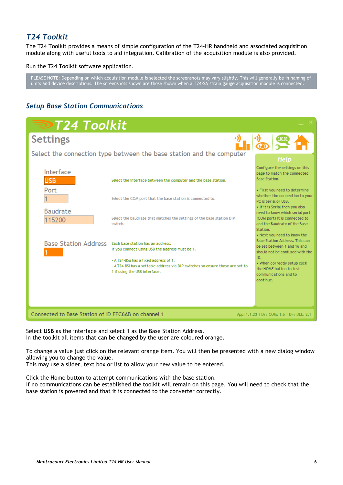## <span id="page-6-0"></span>*T24 Toolkit*

The T24 Toolkit provides a means of simple configuration of the T24-HR handheld and associated acquisition module along with useful tools to aid integration. Calibration of the acquisition module is also provided.

Run the T24 Toolkit software application.

PLEASE NOTE: Depending on which acquisition module is selected the screenshots may vary slightly. This will generally be in naming of units and device descriptions. The screenshots shown are those shown when a T24-SA strain gauge acquisition module is connected.

## <span id="page-6-1"></span>*Setup Base Station Communications*

| <b>DT24 Toolkit</b>                                 |                                                                                                                                                          |                                                                                                                                        |
|-----------------------------------------------------|----------------------------------------------------------------------------------------------------------------------------------------------------------|----------------------------------------------------------------------------------------------------------------------------------------|
| <b>Settings</b>                                     |                                                                                                                                                          |                                                                                                                                        |
|                                                     | Select the connection type between the base station and the computer                                                                                     | Help                                                                                                                                   |
| Interface<br><b>USB</b>                             | Select the interface between the computer and the base station.                                                                                          | Configure the settings on this<br>page to match the connected<br><b>Base Station.</b>                                                  |
| Port                                                | Select the COM port that the base station is connected to.                                                                                               | • First you need to determine<br>whether the connection to your<br>PC is Serial or USB.<br>• If it is Serial then you also             |
| <b>Baudrate</b><br>115200                           | Select the baudrate that matches the settings of the base station DIP<br>switch.                                                                         | need to know which serial port<br>(COM port) it is connected to<br>and the Baudrate of the Base<br>Station.                            |
| <b>Base Station Address</b>                         | Each base station has an address.<br>If you connect using USB the address must be 1.                                                                     | • Next you need to know the<br>Base Station Address, This can<br>be set between 1 and 16 and<br>should not be confused with the<br>ID. |
|                                                     | - A T24-BSu has a fixed address of 1.<br>- A T24-BSi has a settable address via DIP switches so ensure these are set to<br>1 if using the USB interface. | • When correctly setup click<br>the HOME button to test<br>communications and to<br>continue.                                          |
|                                                     |                                                                                                                                                          |                                                                                                                                        |
| Connected to Base Station of ID FFC6AB on channel 1 |                                                                                                                                                          | App: 1.1.23   Drv COM: 1.5   Drv DLL: 2.1                                                                                              |

Select **USB** as the interface and select 1 as the Base Station Address. In the toolkit all items that can be changed by the user are coloured orange.

To change a value just click on the relevant orange item. You will then be presented with a new dialog window allowing you to change the value.

This may use a slider, text box or list to allow your new value to be entered.

Click the Home button to attempt communications with the base station. If no communications can be established the toolkit will remain on this page. You will need to check that the base station is powered and that it is connected to the converter correctly.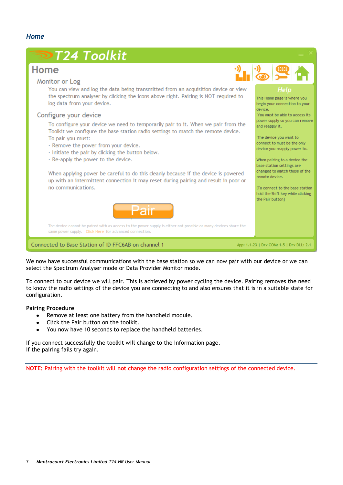<span id="page-7-0"></span>

We now have successful communications with the base station so we can now pair with our device or we can select the Spectrum Analyser mode or Data Provider Monitor mode.

To connect to our device we will pair. This is achieved by power cycling the device. Pairing removes the need to know the radio settings of the device you are connecting to and also ensures that it is in a suitable state for configuration.

#### **Pairing Procedure**

- Remove at least one battery from the handheld module.
- Click the Pair button on the toolkit.
- $\bullet$ You now have 10 seconds to replace the handheld batteries.

If you connect successfully the toolkit will change to the Information page. If the pairing fails try again.

**NOTE:** Pairing with the toolkit will **not** change the radio configuration settings of the connected device.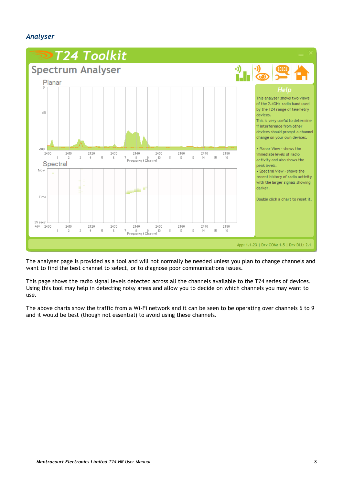## <span id="page-8-0"></span>*Analyser*



The analyser page is provided as a tool and will not normally be needed unless you plan to change channels and want to find the best channel to select, or to diagnose poor communications issues.

This page shows the radio signal levels detected across all the channels available to the T24 series of devices. Using this tool may help in detecting noisy areas and allow you to decide on which channels you may want to use.

The above charts show the traffic from a Wi-Fi network and it can be seen to be operating over channels 6 to 9 and it would be best (though not essential) to avoid using these channels.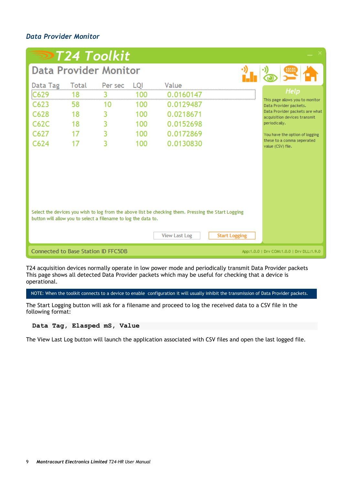## <span id="page-9-0"></span>*Data Provider Monitor*

|                                                                |       | DT24 Toolkit |     |                                                                                                                             |                      |                                                                |
|----------------------------------------------------------------|-------|--------------|-----|-----------------------------------------------------------------------------------------------------------------------------|----------------------|----------------------------------------------------------------|
| <b>Data Provider Monitor</b>                                   |       |              |     |                                                                                                                             |                      | ·))<br>10101                                                   |
| Data Tag                                                       | Total | Per sec      | LQI | Value                                                                                                                       |                      |                                                                |
| C629                                                           | 18    | 3            | 100 | 0.0160147                                                                                                                   |                      | Help<br>This page allows you to monitor                        |
| C623                                                           | 58    | 10           | 100 | 0.0129487                                                                                                                   |                      | Data Provider packets.                                         |
| C628                                                           | 18    | 3            | 100 | 0.0218671                                                                                                                   |                      | Data Provider packets are what<br>acquisition devices transmit |
| C62C                                                           | 18    | 3            | 100 | 0.0152698                                                                                                                   |                      | periodically.                                                  |
| C627                                                           | 17    | 3            | 100 | 0.0172869                                                                                                                   |                      | You have the option of logging                                 |
| C624                                                           | 17    | 3            | 100 | 0.0130830                                                                                                                   |                      | these to a comma seperated<br>value (CSV) file.                |
| button will allow you to select a filename to log the data to. |       |              |     | Select the devices you wish to log from the above list be checking them. Pressing the Start Logging<br><b>View Last Log</b> | <b>Start Logging</b> |                                                                |
| Connected to Base Station ID FFC5DB                            |       |              |     |                                                                                                                             |                      | App:1.0.0   Drv COM:1.0.0   Drv DLL:1.9.0                      |

T24 acquisition devices normally operate in low power mode and periodically transmit Data Provider packets This page shows all detected Data Provider packets which may be useful for checking that a device is operational.

NOTE: When the toolkit connects to a device to enable configuration it will usually inhibit the transmission of Data Provider packets.

The Start Logging button will ask for a filename and proceed to log the received data to a CSV file in the following format:

#### **Data Tag, Elasped mS, Value**

The View Last Log button will launch the application associated with CSV files and open the last logged file.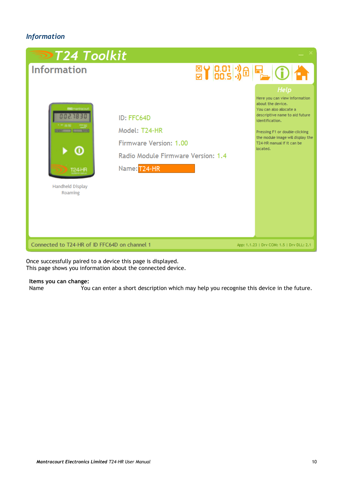## <span id="page-10-0"></span>*Information*



Once successfully paired to a device this page is displayed. This page shows you information about the connected device.

## **Items you can change:**

You can enter a short description which may help you recognise this device in the future.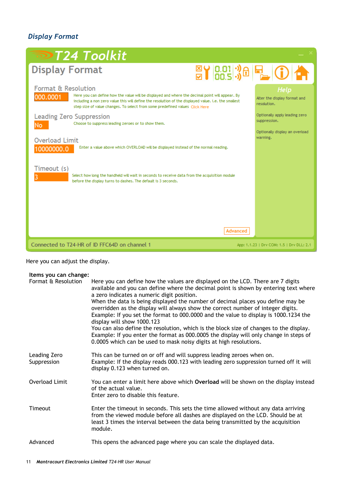## <span id="page-11-0"></span>*Display Format*

| <b>■T24 Toolkit</b>                                                                                                                                                                                                                                                                                                                   |                                                     |
|---------------------------------------------------------------------------------------------------------------------------------------------------------------------------------------------------------------------------------------------------------------------------------------------------------------------------------------|-----------------------------------------------------|
| <b>Display Format</b><br><b>EY 8.01 % 日 0 个</b>                                                                                                                                                                                                                                                                                       |                                                     |
| <b>Format &amp; Resolution</b><br>Here you can define how the value will be displayed and where the decimal point will appear. By<br>000.0001<br>including a non zero value this will define the resolution of the displayed value, i.e. the smallest<br>step size of value changes. To select from some predefined values Click Here | Help<br>Alter the display format and<br>resolution. |
| <b>Leading Zero Suppression</b><br>Choose to suppress leading zeroes or to show them.<br>No.                                                                                                                                                                                                                                          | Optionally apply leading zero<br>suppression.       |
| <b>Overload Limit</b><br>Enter a value above which OVERLOAD will be displayed instead of the normal reading,<br>10000000.0                                                                                                                                                                                                            | Optionally display an overload<br>warning.          |
| Timeout (s)<br>Select how long the handheld will wait in seconds to receive data from the acquisition module<br>before the display turns to dashes. The default is 3 seconds.                                                                                                                                                         |                                                     |
| Advanced<br>Connected to T24-HR of ID FFC64D on channel 1                                                                                                                                                                                                                                                                             | App: 1.1.23   Drv COM: 1.5   Drv DLL: 2.1           |

Here you can adjust the display.

#### **Items you can change:** Format & Resolution Here you can define how the values are displayed on the LCD. There are 7 digits available and you can define where the decimal point is shown by entering text where a zero indicates a numeric digit position. When the data is being displayed the number of decimal places you define may be overridden as the display will always show the correct number of integer digits. Example: If you set the format to 000.0000 and the value to display is 1000.1234 the display will show 1000.123 You can also define the resolution, which is the block size of changes to the display. Example: If you enter the format as 000.0005 the display will only change in steps of 0.0005 which can be used to mask noisy digits at high resolutions. Leading Zero Suppression This can be turned on or off and will suppress leading zeroes when on. Example: If the display reads 000.123 with leading zero suppression turned off it will display 0.123 when turned on. Overload Limit You can enter a limit here above which **Overload** will be shown on the display instead of the actual value. Enter zero to disable this feature. Timeout Enter the timeout in seconds. This sets the time allowed without any data arriving from the viewed module before all dashes are displayed on the LCD. Should be at least 3 times the interval between the data being transmitted by the acquisition module. Advanced This opens the advanced page where you can scale the displayed data.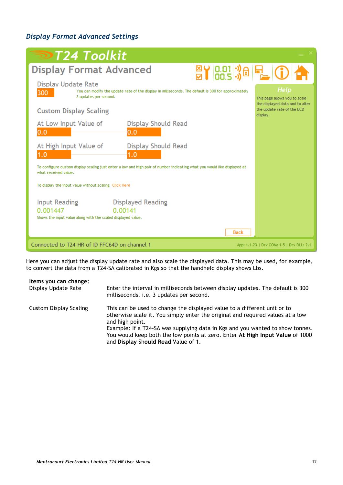## <span id="page-12-0"></span>*Display Format Advanced Settings*

| $\triangleright$ T24 Toolkit                                                                                                                                                                |                                                                                                                    |
|---------------------------------------------------------------------------------------------------------------------------------------------------------------------------------------------|--------------------------------------------------------------------------------------------------------------------|
| <b>Display Format Advanced</b><br>EY BOI 38 E OF                                                                                                                                            |                                                                                                                    |
| Display Update Rate<br>You can modify the update rate of the display in milliseconds. The default is 300 for approximately<br>300<br>3 updates per second.<br><b>Custom Display Scaling</b> | Help<br>This page allows you to scale<br>the displayed data and to alter<br>the update rate of the LCD<br>display. |
| At Low Input Value of<br>Display Should Read<br>0.0<br>0.0                                                                                                                                  |                                                                                                                    |
| At High Input Value of<br>Display Should Read<br>1.0<br>1.0                                                                                                                                 |                                                                                                                    |
| To configure custom display scaling just enter a low and high pair of number indicating what you would like displayed at<br>what received value.                                            |                                                                                                                    |
| To display the input value without scaling Click Here                                                                                                                                       |                                                                                                                    |
| <b>Input Reading</b><br><b>Displayed Reading</b><br>0.001447<br>0.00141<br>Shows the input value along with the scaled displayed value.                                                     |                                                                                                                    |
| <b>Back</b>                                                                                                                                                                                 |                                                                                                                    |
| Connected to T24-HR of ID FFC64D on channel 1                                                                                                                                               | App: 1.1.23   Drv COM: 1.5   Drv DLL: 2.1                                                                          |

Here you can adjust the display update rate and also scale the displayed data. This may be used, for example, to convert the data from a T24-SA calibrated in Kgs so that the handheld display shows Lbs.

| Items you can change:  | Enter the interval in milliseconds between display updates. The default is 300                                                                                                                                                                                                                                                                                                         |
|------------------------|----------------------------------------------------------------------------------------------------------------------------------------------------------------------------------------------------------------------------------------------------------------------------------------------------------------------------------------------------------------------------------------|
| Display Update Rate    | milliseconds. i.e. 3 updates per second.                                                                                                                                                                                                                                                                                                                                               |
| Custom Display Scaling | This can be used to change the displayed value to a different unit or to<br>otherwise scale it. You simply enter the original and required values at a low<br>and high point.<br>Example: If a T24-SA was supplying data in Kgs and you wanted to show tonnes.<br>You would keep both the low points at zero. Enter At High Input Value of 1000<br>and Display Should Read Value of 1. |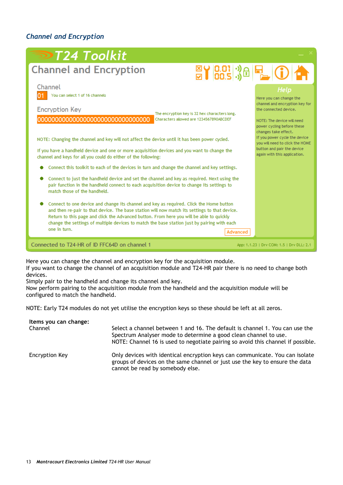## <span id="page-13-0"></span>*Channel and Encryption*

| $\blacktriangleright$ T24 Toolkit                                                                                                                                                                                                                                                                                                                                                                                                                                                                                                                                                                                                                                                                                                                                                                                                                                                                                                                                                                                                                                                                                                                                                  |                                                                                                                                                                                                                                                                                                                  |
|------------------------------------------------------------------------------------------------------------------------------------------------------------------------------------------------------------------------------------------------------------------------------------------------------------------------------------------------------------------------------------------------------------------------------------------------------------------------------------------------------------------------------------------------------------------------------------------------------------------------------------------------------------------------------------------------------------------------------------------------------------------------------------------------------------------------------------------------------------------------------------------------------------------------------------------------------------------------------------------------------------------------------------------------------------------------------------------------------------------------------------------------------------------------------------|------------------------------------------------------------------------------------------------------------------------------------------------------------------------------------------------------------------------------------------------------------------------------------------------------------------|
| <b>Channel and Encryption</b>                                                                                                                                                                                                                                                                                                                                                                                                                                                                                                                                                                                                                                                                                                                                                                                                                                                                                                                                                                                                                                                                                                                                                      | <b>EY 8.01 36 2 0 4</b>                                                                                                                                                                                                                                                                                          |
| Channel<br>You can select 1 of 16 channels<br><b>Encryption Key</b><br>The encryption key is 32 hex characters long.<br>Characters allowed are 1234567890ABCDEF<br>NOTE: Changing the channel and key will not affect the device until it has been power cycled.<br>If you have a handheld device and one or more acquisition devices and you want to change the<br>channel and keys for all you could do either of the following:<br>Connect this toolkit to each of the devices in turn and change the channel and key settings.<br>Connect to just the handheld device and set the channel and key as required. Next using the<br>pair function in the handheld connect to each acquisition device to change its settings to<br>match those of the handheld.<br>Connect to one device and change its channel and key as required. Click the Home button<br>and then re-pair to that device. The base station will now match its settings to that device.<br>Return to this page and click the Advanced button. From here you will be able to quickly<br>change the settings of multiple devices to match the base station just by pairing with each<br>one in turn.<br>Advanced | Help<br>Here you can change the<br>channel and encryption key for<br>the connected device.<br>NOTE: The device will need<br>power cycling before these<br>changes take effect.<br>If you power cycle the device<br>vou will need to click the HOME<br>button and pair the device<br>again with this application. |
| Connected to T24-HR of ID FFC64D on channel 1                                                                                                                                                                                                                                                                                                                                                                                                                                                                                                                                                                                                                                                                                                                                                                                                                                                                                                                                                                                                                                                                                                                                      | App: 1.1.23   Drv COM: 1.5   Drv DLL: 2.1                                                                                                                                                                                                                                                                        |

Here you can change the channel and encryption key for the acquisition module.

If you want to change the channel of an acquisition module and T24-HR pair there is no need to change both devices.

Simply pair to the handheld and change its channel and key.

Now perform pairing to the acquisition module from the handheld and the acquisition module will be configured to match the handheld.

NOTE: Early T24 modules do not yet utilise the encryption keys so these should be left at all zeros.

| Items you can change:<br>Channel | Select a channel between 1 and 16. The default is channel 1. You can use the<br>Spectrum Analyser mode to determine a good clean channel to use.                 |
|----------------------------------|------------------------------------------------------------------------------------------------------------------------------------------------------------------|
| Encryption Key                   | NOTE: Channel 16 is used to negotiate pairing so avoid this channel if possible.<br>Only devices with identical encryption keys can communicate. You can isolate |
|                                  | groups of devices on the same channel or just use the key to ensure the data<br>cannot be read by somebody else.                                                 |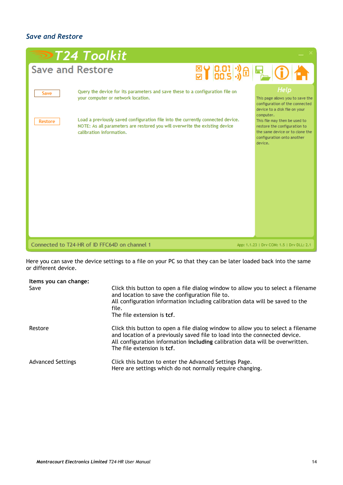## <span id="page-14-0"></span>*Save and Restore*

|                         | <b>DT24 Toolkit</b>                                                                                                                                                                                                                                                                   |  |                                                                                                                                                                                           |
|-------------------------|---------------------------------------------------------------------------------------------------------------------------------------------------------------------------------------------------------------------------------------------------------------------------------------|--|-------------------------------------------------------------------------------------------------------------------------------------------------------------------------------------------|
| <b>Save and Restore</b> |                                                                                                                                                                                                                                                                                       |  | <b>EY 8.01 % 日 0 个</b>                                                                                                                                                                    |
| Save<br>Restore         | Query the device for its parameters and save these to a configuration file on<br>your computer or network location.<br>Load a previously saved configuration file into the currently connected device.<br>NOTE: As all parameters are restored you will overwrite the existing device |  | Help<br>This page allows you to save the<br>configuration of the connected<br>device to a disk file on your<br>computer.<br>This file may then be used to<br>restore the configuration to |
|                         | calibration information.                                                                                                                                                                                                                                                              |  | the same device or to clone the<br>configuration onto another<br>device.                                                                                                                  |
|                         |                                                                                                                                                                                                                                                                                       |  |                                                                                                                                                                                           |
|                         |                                                                                                                                                                                                                                                                                       |  |                                                                                                                                                                                           |
|                         | Connected to T24-HR of ID FFC64D on channel 1                                                                                                                                                                                                                                         |  | App: 1.1.23   Drv COM: 1.5   Drv DLL: 2.1                                                                                                                                                 |

Here you can save the device settings to a file on your PC so that they can be later loaded back into the same or different device.

| Items you can change:<br>Save | Click this button to open a file dialog window to allow you to select a filename<br>and location to save the configuration file to.<br>All configuration information including calibration data will be saved to the<br>file.<br>The file extension is tcf.                   |
|-------------------------------|-------------------------------------------------------------------------------------------------------------------------------------------------------------------------------------------------------------------------------------------------------------------------------|
| Restore                       | Click this button to open a file dialog window to allow you to select a filename<br>and location of a previously saved file to load into the connected device.<br>All configuration information including calibration data will be overwritten.<br>The file extension is tcf. |
| <b>Advanced Settings</b>      | Click this button to enter the Advanced Settings Page.<br>Here are settings which do not normally require changing.                                                                                                                                                           |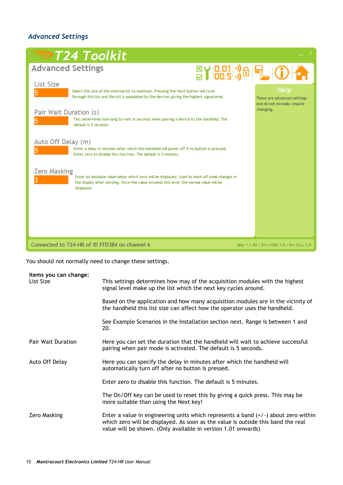## <span id="page-15-0"></span>*Advanced Settings*

| <b>Advanced Settings</b><br><b>EY 8.01 % 日 0 个</b><br><b>List Size</b><br>Help<br>Select the size of the internal list to maintain. Pressing the Next button will cycle<br>through this list and the list is populated by the devices giving the highest signal level.<br>These are advanced settings<br>and do not normally require<br>changing.<br>Pair Wait Duration (s)<br>This determines how long to wait in seconds when pairing a device to the handheld. The<br>default is 5 seconds.<br>Auto Off Delay (m)<br>Enter a delay in minutes after which the handheld will power off if no button is pressed.<br>Enter zero to disable this function. The default is 5 minutes.<br>Zero Masking<br>Enter an absolute value below which zero will be displayed. Used to mask off small changes in<br>the display after zeroing. Once the value exceeds this level the normal value will be<br>displayed. | <b>⋑T24 Toolkit</b> |  |
|-------------------------------------------------------------------------------------------------------------------------------------------------------------------------------------------------------------------------------------------------------------------------------------------------------------------------------------------------------------------------------------------------------------------------------------------------------------------------------------------------------------------------------------------------------------------------------------------------------------------------------------------------------------------------------------------------------------------------------------------------------------------------------------------------------------------------------------------------------------------------------------------------------------|---------------------|--|
|                                                                                                                                                                                                                                                                                                                                                                                                                                                                                                                                                                                                                                                                                                                                                                                                                                                                                                             |                     |  |
|                                                                                                                                                                                                                                                                                                                                                                                                                                                                                                                                                                                                                                                                                                                                                                                                                                                                                                             |                     |  |
| Connected to T24-HR of ID FFD384 on channel 6<br>App: 1.1.90   Drv COM: 1.6   Drv DLL: 2.6                                                                                                                                                                                                                                                                                                                                                                                                                                                                                                                                                                                                                                                                                                                                                                                                                  |                     |  |

You should not normally need to change these settings.

| Items you can change:<br>List Size | This settings determines how may of the acquisition modules with the highest<br>signal level make up the list which the next key cycles around.                                                                                           |
|------------------------------------|-------------------------------------------------------------------------------------------------------------------------------------------------------------------------------------------------------------------------------------------|
|                                    | Based on the application and how many acquisition modules are in the vicinity of<br>the handheld this list size can affect how the operator uses the handheld.                                                                            |
|                                    | See Example Scenarios in the Installation section next. Range is between 1 and<br>20.                                                                                                                                                     |
| Pair Wait Duration                 | Here you can set the duration that the handheld will wait to achieve successful<br>pairing when pair mode is activated. The default is 5 seconds.                                                                                         |
| Auto Off Delay                     | Here you can specify the delay in minutes after which the handheld will<br>automatically turn off after no button is pressed.                                                                                                             |
|                                    | Enter zero to disable this function. The default is 5 minutes.                                                                                                                                                                            |
|                                    | The On/Off key can be used to reset this by giving a quick press. This may be<br>more suitable than using the Next key!                                                                                                                   |
| Zero Masking                       | Enter a value in engineering units which represents a band $(+/-)$ about zero within<br>which zero will be displayed. As soon as the value is outside this band the real<br>value will be shown. (Only available in version 1.01 onwards) |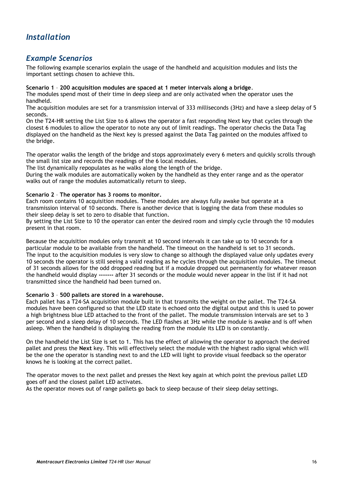## <span id="page-16-0"></span>*Installation*

## <span id="page-16-1"></span>*Example Scenarios*

The following example scenarios explain the usage of the handheld and acquisition modules and lists the important settings chosen to achieve this.

#### **Scenario 1** – **200 acquisition modules are spaced at 1 meter intervals along a bridge**.

The modules spend most of their time in deep sleep and are only activated when the operator uses the handheld.

The acquisition modules are set for a transmission interval of 333 milliseconds (3Hz) and have a sleep delay of 5 seconds.

On the T24-HR setting the List Size to 6 allows the operator a fast responding Next key that cycles through the closest 6 modules to allow the operator to note any out of limit readings. The operator checks the Data Tag displayed on the handheld as the Next key is pressed against the Data Tag painted on the modules affixed to the bridge.

The operator walks the length of the bridge and stops approximately every 6 meters and quickly scrolls through the small list size and records the readings of the 6 local modules.

The list dynamically repopulates as he walks along the length of the bridge.

During the walk modules are automatically woken by the handheld as they enter range and as the operator walks out of range the modules automatically return to sleep.

#### **Scenario 2** – **The operator has 3 rooms to monitor.**

Each room contains 10 acquisition modules. These modules are always fully awake but operate at a transmission interval of 10 seconds. There is another device that is logging the data from these modules so their sleep delay is set to zero to disable that function.

By setting the List Size to 10 the operator can enter the desired room and simply cycle through the 10 modules present in that room.

Because the acquisition modules only transmit at 10 second intervals it can take up to 10 seconds for a particular module to be available from the handheld. The timeout on the handheld is set to 31 seconds. The input to the acquisition modules is very slow to change so although the displayed value only updates every 10 seconds the operator is still seeing a valid reading as he cycles through the acquisition modules. The timeout of 31 seconds allows for the odd dropped reading but if a module dropped out permanently for whatever reason the handheld would display **-------** after 31 seconds or the module would never appear in the list if it had not transmitted since the handheld had been turned on.

#### **Scenario 3** – **500 pallets are stored in a warehouse.**

Each pallet has a T24-SA acquisition module built in that transmits the weight on the pallet. The T24-SA modules have been configured so that the LED state is echoed onto the digital output and this is used to power a high brightness blue LED attached to the front of the pallet. The module transmission intervals are set to 3 per second and a sleep delay of 10 seconds. The LED flashes at 3Hz while the module is awake and is off when asleep. When the handheld is displaying the reading from the module its LED is on constantly.

On the handheld the List Size is set to 1. This has the effect of allowing the operator to approach the desired pallet and press the **Next** key. This will effectively select the module with the highest radio signal which will be the one the operator is standing next to and the LED will light to provide visual feedback so the operator knows he is looking at the correct pallet.

The operator moves to the next pallet and presses the Next key again at which point the previous pallet LED goes off and the closest pallet LED activates.

As the operator moves out of range pallets go back to sleep because of their sleep delay settings.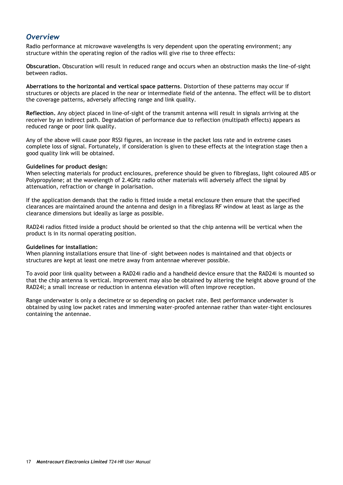## <span id="page-17-0"></span>*Overview*

Radio performance at microwave wavelengths is very dependent upon the operating environment; any structure within the operating region of the radios will give rise to three effects:

**Obscuration.** Obscuration will result in reduced range and occurs when an obstruction masks the line-of-sight between radios.

**Aberrations to the horizontal and vertical space patterns**. Distortion of these patterns may occur if structures or objects are placed in the near or intermediate field of the antenna. The effect will be to distort the coverage patterns, adversely affecting range and link quality.

**Reflection.** Any object placed in line-of-sight of the transmit antenna will result in signals arriving at the receiver by an indirect path. Degradation of performance due to reflection (multipath effects) appears as reduced range or poor link quality.

Any of the above will cause poor RSSI figures, an increase in the packet loss rate and in extreme cases complete loss of signal. Fortunately, if consideration is given to these effects at the integration stage then a good quality link will be obtained.

#### **Guidelines for product design:**

When selecting materials for product enclosures, preference should be given to fibreglass, light coloured ABS or Polypropylene; at the wavelength of 2.4GHz radio other materials will adversely affect the signal by attenuation, refraction or change in polarisation.

If the application demands that the radio is fitted inside a metal enclosure then ensure that the specified clearances are maintained around the antenna and design in a fibreglass RF window at least as large as the clearance dimensions but ideally as large as possible.

RAD24i radios fitted inside a product should be oriented so that the chip antenna will be vertical when the product is in its normal operating position.

#### **Guidelines for installation:**

When planning installations ensure that line-of –sight between nodes is maintained and that objects or structures are kept at least one metre away from antennae wherever possible.

To avoid poor link quality between a RAD24i radio and a handheld device ensure that the RAD24i is mounted so that the chip antenna is vertical. Improvement may also be obtained by altering the height above ground of the RAD24i; a small increase or reduction in antenna elevation will often improve reception.

Range underwater is only a decimetre or so depending on packet rate. Best performance underwater is obtained by using low packet rates and immersing water-proofed antennae rather than water-tight enclosures containing the antennae.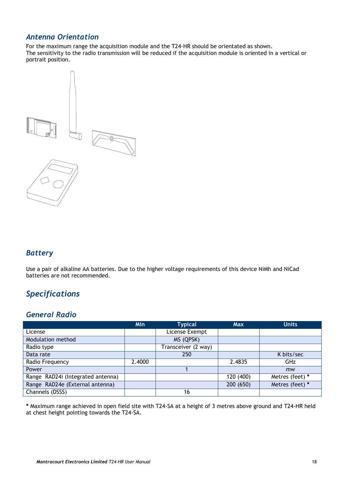## <span id="page-18-0"></span>*Antenna Orientation*

For the maximum range the acquisition module and the T24-HR should be orientated as shown. The sensitivity to the radio transmission will be reduced if the acquisition module is oriented in a vertical or portrait position.



## <span id="page-18-1"></span>*Battery*

Use a pair of alkaline AA batteries. Due to the higher voltage requirements of this device NiMh and NiCad batteries are not recommended.

## <span id="page-18-2"></span>*Specifications*

## <span id="page-18-3"></span>*General Radio*

|                                   | Min    | <b>Typical</b>      | <b>Max</b> | <b>Units</b>    |
|-----------------------------------|--------|---------------------|------------|-----------------|
| License                           |        | License Exempt      |            |                 |
| Modulation method                 |        | MS (QPSK)           |            |                 |
| Radio type                        |        | Transceiver (2 way) |            |                 |
| Data rate                         |        | 250                 |            | K bits/sec      |
| Radio Frequency                   | 2.4000 |                     | 2.4835     | <b>GHz</b>      |
| Power                             |        |                     |            | mw              |
| Range RAD24i (Integrated antenna) |        |                     | 120 (400)  | Metres (feet) * |
| Range RAD24e (External antenna)   |        |                     | 200 (650)  | Metres (feet) * |
| Channels (DSSS)                   |        | 16                  |            |                 |

**\*** Maximum range achieved in open field site with T24-SA at a height of 3 metres above ground and T24-HR held at chest height pointing towards the T24-SA.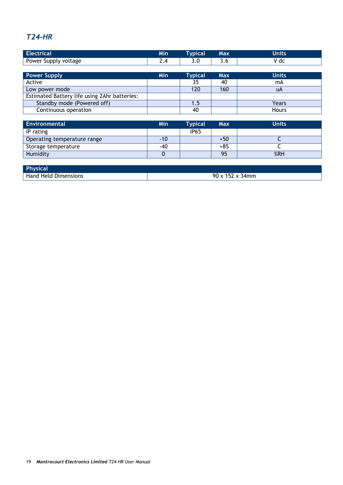## <span id="page-19-0"></span>*T24-HR*

| <b>Electrical</b>                            | <b>Min</b> | <b>Typical</b>   | Max        | <b>Units</b> |
|----------------------------------------------|------------|------------------|------------|--------------|
| Power Supply voltage                         | 2.4        | 3.0              | 3.6        | V dc         |
|                                              |            |                  |            |              |
| <b>Power Supply</b>                          | <b>Min</b> | <b>Typical</b>   | <b>Max</b> | <b>Units</b> |
| Active                                       |            | 35               | 40         | mA           |
| Low power mode                               |            | 120              | 160        | uA           |
| Estimated Battery life using 2Ahr batteries: |            |                  |            |              |
| Standby mode (Powered off)                   |            | 1.5              |            | Years        |
| Continuous operation                         |            | 40               |            | <b>Hours</b> |
|                                              |            |                  |            |              |
| <b>Environmental</b>                         | <b>Min</b> | <b>Typical</b>   | <b>Max</b> | <b>Units</b> |
| IP rating                                    |            | IP <sub>65</sub> |            |              |
| Operating temperature range                  | $-10$      |                  | $+50$      |              |
| Storage temperature                          | -40        |                  | $+85$      |              |
| Humidity                                     | 0          |                  | 95         | %RH          |

| Physical             |                              |
|----------------------|------------------------------|
| Hand Held Dimensions | $90 \times 152 \times 34$ mm |

Humidity | 0 | | 95 | %RH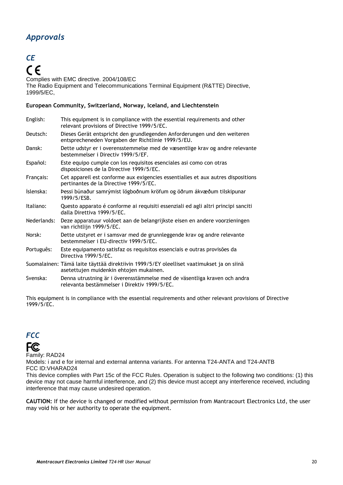## <span id="page-20-0"></span>*Approvals*

## <span id="page-20-1"></span>*CE*  $C \in$

Complies with EMC directive. 2004/108/EC The Radio Equipment and Telecommunications Terminal Equipment (R&TTE) Directive, 1999/5/EC,

#### **European Community, Switzerland, Norway, Iceland, and Liechtenstein**

| English:    | This equipment is in compliance with the essential requirements and other<br>relevant provisions of Directive 1999/5/EC.            |
|-------------|-------------------------------------------------------------------------------------------------------------------------------------|
| Deutsch:    | Dieses Gerät entspricht den grundlegenden Anforderungen und den weiteren<br>entsprecheneden Vorgaben der Richtlinie 1999/5/EU.      |
| Dansk:      | Dette udstyr er i overensstemmelse med de væsentlige krav og andre relevante<br>bestemmelser i Directiv 1999/5/EF.                  |
| Español:    | Este equipo cumple con los requisitos esenciales asi como con otras<br>disposiciones de la Directive 1999/5/EC.                     |
| Français:   | Cet appareil est conforme aux exigencies essentialles et aux autres dispositions<br>pertinantes de la Directive 1999/5/EC.          |
| Íslenska:   | Þessi búnaður samrýmist lögboðnum kröfum og öðrum ákvæðum tilskipunar<br>1999/5/ESB.                                                |
| Italiano:   | Questo apparato é conforme ai requisiti essenziali ed agli altri principi sanciti<br>dalla Direttiva 1999/5/EC.                     |
| Nederlands: | Deze apparatuur voldoet aan de belangrijkste eisen en andere voorzieningen<br>van richtlijn 1999/5/EC.                              |
| Norsk:      | Dette utstyret er i samsvar med de grunnleggende krav og andre relevante<br>bestemmelser i EU-directiv 1999/5/EC.                   |
| Português:  | Este equipamento satisfaz os requisitos essenciais e outras provisões da<br>Directiva 1999/5/EC.                                    |
|             | Suomalainen: Tämä laite täyttää direktiivin 1999/5/EY oleelliset vaatimukset ja on siinä<br>asetettujen muidenkin ehtojen mukainen. |
| Svenska:    | Denna utrustning är i överensstämmelse med de väsentliga kraven och andra<br>relevanta bestämmelser i Direktiv 1999/5/EC.           |

This equipment is in compliance with the essential requirements and other relevant provisions of Directive 1999/5/EC.

## <span id="page-20-2"></span>*FCC*



Family: RAD24

Models: i and e for internal and external antenna variants. For antenna T24-ANTA and T24-ANTB FCC ID:VHARAD24

This device complies with Part 15c of the FCC Rules. Operation is subject to the following two conditions: (1) this device may not cause harmful interference, and (2) this device must accept any interference received, including interference that may cause undesired operation.

**CAUTION:** If the device is changed or modified without permission from Mantracourt Electronics Ltd, the user may void his or her authority to operate the equipment.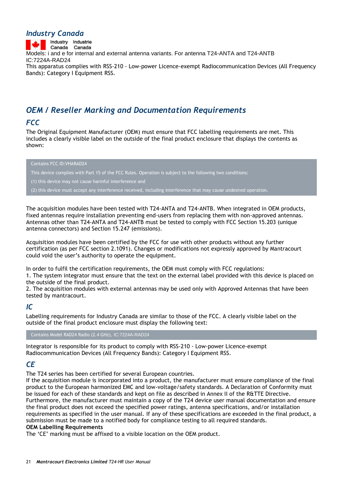### <span id="page-21-0"></span>*Industry Canada*

Industry Industrie Canada Canada Models: i and e for internal and external antenna variants. For antenna T24-ANTA and T24-ANTB IC:7224A-RAD24 This apparatus complies with RSS-210 - Low-power Licence-exempt Radiocommunication Devices (All Frequency Bands): Category I Equipment RSS.

## <span id="page-21-1"></span>*OEM / Reseller Marking and Documentation Requirements*

## <span id="page-21-2"></span>*FCC*

The Original Equipment Manufacturer (OEM) must ensure that FCC labelling requirements are met. This includes a clearly visible label on the outside of the final product enclosure that displays the contents as shown:

#### Contains FCC ID:VHARAD24

This device complies with Part 15 of the FCC Rules. Operation is subject to the following two conditions:

(1) this device may not cause harmful interference and

(2) this device must accept any interference received, including interference that may cause undesired operation.

The acquisition modules have been tested with T24-ANTA and T24-ANTB. When integrated in OEM products, fixed antennas require installation preventing end-users from replacing them with non-approved antennas. Antennas other than T24-ANTA and T24-ANTB must be tested to comply with FCC Section 15.203 (unique antenna connectors) and Section 15.247 (emissions).

Acquisition modules have been certified by the FCC for use with other products without any further certification (as per FCC section 2.1091). Changes or modifications not expressly approved by Mantracourt could void the user"s authority to operate the equipment.

In order to fulfil the certification requirements, the OEM must comply with FCC regulations:

1. The system integrator must ensure that the text on the external label provided with this device is placed on the outside of the final product.

2. The acquisition modules with external antennas may be used only with Approved Antennas that have been tested by mantracourt.

## <span id="page-21-3"></span>*IC*

Labelling requirements for Industry Canada are similar to those of the FCC. A clearly visible label on the outside of the final product enclosure must display the following text:

Contains Model RAD24 Radio (2.4 GHz), IC:7224A-RAD24

Integrator is responsible for its product to comply with RSS-210 - Low-power Licence-exempt Radiocommunication Devices (All Frequency Bands): Category I Equipment RSS.

## <span id="page-21-4"></span>*CE*

The T24 series has been certified for several European countries.

If the acquisition module is incorporated into a product, the manufacturer must ensure compliance of the final product to the European harmonized EMC and low-voltage/safety standards. A Declaration of Conformity must be issued for each of these standards and kept on file as described in Annex II of the R&TTE Directive. Furthermore, the manufacturer must maintain a copy of the T24 device user manual documentation and ensure the final product does not exceed the specified power ratings, antenna specifications, and/or installation requirements as specified in the user manual. If any of these specifications are exceeded in the final product, a submission must be made to a notified body for compliance testing to all required standards. **OEM Labelling Requirements**

The 'CE' marking must be affixed to a visible location on the OEM product.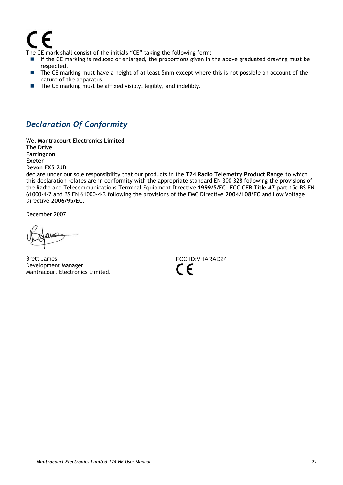# 7 F

The CE mark shall consist of the initials "CE" taking the following form:

- If the CE marking is reduced or enlarged, the proportions given in the above graduated drawing must be respected.
- The CE marking must have a height of at least 5mm except where this is not possible on account of the nature of the apparatus.
- The CE marking must be affixed visibly, legibly, and indelibly.

## <span id="page-22-0"></span>*Declaration Of Conformity*

We, **Mantracourt Electronics Limited The Drive Farringdon Exeter Devon EX5 2JB**

declare under our sole responsibility that our products in the **T24 Radio Telemetry Product Range** to which this declaration relates are in conformity with the appropriate standard EN 300 328 following the provisions of the Radio and Telecommunications Terminal Equipment Directive **1999/5/EC**, **FCC CFR Title 47** part 15c BS EN 61000-4-2 and BS EN 61000-4-3 following the provisions of the EMC Directive **2004/108/EC** and Low Voltage Directive **2006/95/EC**.

December 2007

Brett James Development Manager Mantracourt Electronics Limited.

FCC ID:VHARAD24  $\epsilon$